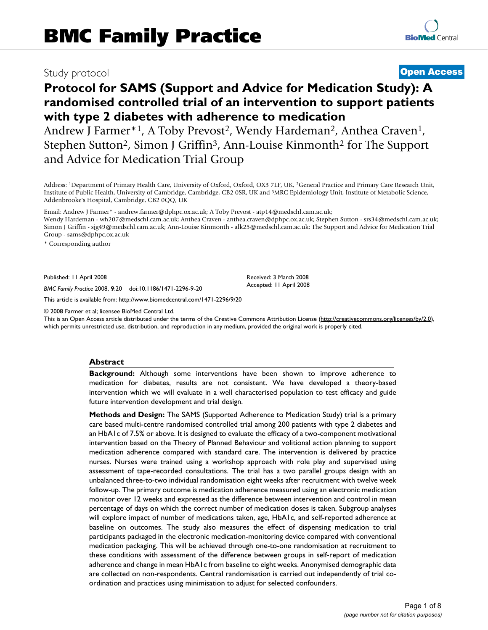# Study protocol **[Open Access](http://www.biomedcentral.com/info/about/charter/)**

# **Protocol for SAMS (Support and Advice for Medication Study): A randomised controlled trial of an intervention to support patients with type 2 diabetes with adherence to medication**

Andrew J Farmer<sup>\*1</sup>, A Toby Prevost<sup>2</sup>, Wendy Hardeman<sup>2</sup>, Anthea Craven<sup>1</sup>, Stephen Sutton2, Simon J Griffin3, Ann-Louise Kinmonth2 for The Support and Advice for Medication Trial Group

Address: 1Department of Primary Health Care, University of Oxford, Oxford, OX3 7LF, UK, 2General Practice and Primary Care Research Unit, Institute of Public Health, University of Cambridge, Cambridge, CB2 0SR, UK and 3MRC Epidemiology Unit, Institute of Metabolic Science, Addenbrooke's Hospital, Cambridge, CB2 0QQ, UK

Email: Andrew J Farmer\* - andrew.farmer@dphpc.ox.ac.uk; A Toby Prevost - atp14@medschl.cam.ac.uk;

Wendy Hardeman - wh207@medschl.cam.ac.uk; Anthea Craven - anthea.craven@dphpc.ox.ac.uk; Stephen Sutton - srs34@medschl.cam.ac.uk; Simon J Griffin - sjg49@medschl.cam.ac.uk; Ann-Louise Kinmonth - alk25@medschl.cam.ac.uk; The Support and Advice for Medication Trial Group - sams@dphpc.ox.ac.uk

\* Corresponding author

Published: 11 April 2008

Received: 3 March 2008 Accepted: 11 April 2008

[This article is available from: http://www.biomedcentral.com/1471-2296/9/20](http://www.biomedcentral.com/1471-2296/9/20)

© 2008 Farmer et al; licensee BioMed Central Ltd.

*BMC Family Practice* 2008, **9**:20 doi:10.1186/1471-2296-9-20

This is an Open Access article distributed under the terms of the Creative Commons Attribution License [\(http://creativecommons.org/licenses/by/2.0\)](http://creativecommons.org/licenses/by/2.0), which permits unrestricted use, distribution, and reproduction in any medium, provided the original work is properly cited.

#### **Abstract**

**Background:** Although some interventions have been shown to improve adherence to medication for diabetes, results are not consistent. We have developed a theory-based intervention which we will evaluate in a well characterised population to test efficacy and guide future intervention development and trial design.

**Methods and Design:** The SAMS (Supported Adherence to Medication Study) trial is a primary care based multi-centre randomised controlled trial among 200 patients with type 2 diabetes and an HbA1c of 7.5% or above. It is designed to evaluate the efficacy of a two-component motivational intervention based on the Theory of Planned Behaviour and volitional action planning to support medication adherence compared with standard care. The intervention is delivered by practice nurses. Nurses were trained using a workshop approach with role play and supervised using assessment of tape-recorded consultations. The trial has a two parallel groups design with an unbalanced three-to-two individual randomisation eight weeks after recruitment with twelve week follow-up. The primary outcome is medication adherence measured using an electronic medication monitor over 12 weeks and expressed as the difference between intervention and control in mean percentage of days on which the correct number of medication doses is taken. Subgroup analyses will explore impact of number of medications taken, age, HbA1c, and self-reported adherence at baseline on outcomes. The study also measures the effect of dispensing medication to trial participants packaged in the electronic medication-monitoring device compared with conventional medication packaging. This will be achieved through one-to-one randomisation at recruitment to these conditions with assessment of the difference between groups in self-report of medication adherence and change in mean HbA1c from baseline to eight weeks. Anonymised demographic data are collected on non-respondents. Central randomisation is carried out independently of trial coordination and practices using minimisation to adjust for selected confounders.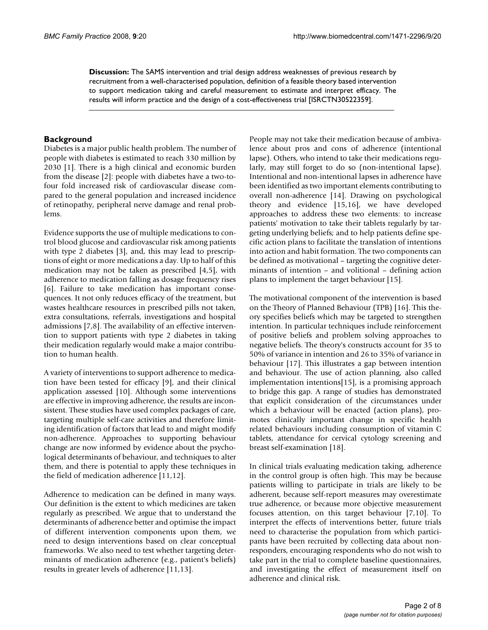**Discussion:** The SAMS intervention and trial design address weaknesses of previous research by recruitment from a well-characterised population, definition of a feasible theory based intervention to support medication taking and careful measurement to estimate and interpret efficacy. The results will inform practice and the design of a cost-effectiveness trial [ISRCTN30522359].

#### **Background**

Diabetes is a major public health problem. The number of people with diabetes is estimated to reach 330 million by 2030 [1]. There is a high clinical and economic burden from the disease [2]: people with diabetes have a two-tofour fold increased risk of cardiovascular disease compared to the general population and increased incidence of retinopathy, peripheral nerve damage and renal problems.

Evidence supports the use of multiple medications to control blood glucose and cardiovascular risk among patients with type 2 diabetes [3], and, this may lead to prescriptions of eight or more medications a day. Up to half of this medication may not be taken as prescribed [4,5], with adherence to medication falling as dosage frequency rises [6]. Failure to take medication has important consequences. It not only reduces efficacy of the treatment, but wastes healthcare resources in prescribed pills not taken, extra consultations, referrals, investigations and hospital admissions [7,8]. The availability of an effective intervention to support patients with type 2 diabetes in taking their medication regularly would make a major contribution to human health.

A variety of interventions to support adherence to medication have been tested for efficacy [9], and their clinical application assessed [10]. Although some interventions are effective in improving adherence, the results are inconsistent. These studies have used complex packages of care, targeting multiple self-care activities and therefore limiting identification of factors that lead to and might modify non-adherence. Approaches to supporting behaviour change are now informed by evidence about the psychological determinants of behaviour, and techniques to alter them, and there is potential to apply these techniques in the field of medication adherence [11,12].

Adherence to medication can be defined in many ways. Our definition is the extent to which medicines are taken regularly as prescribed. We argue that to understand the determinants of adherence better and optimise the impact of different intervention components upon them, we need to design interventions based on clear conceptual frameworks. We also need to test whether targeting determinants of medication adherence (e.g., patient's beliefs) results in greater levels of adherence [11,13].

People may not take their medication because of ambivalence about pros and cons of adherence (intentional lapse). Others, who intend to take their medications regularly, may still forget to do so (non-intentional lapse). Intentional and non-intentional lapses in adherence have been identified as two important elements contributing to overall non-adherence [14]. Drawing on psychological theory and evidence [15,16], we have developed approaches to address these two elements: to increase patients' motivation to take their tablets regularly by targeting underlying beliefs; and to help patients define specific action plans to facilitate the translation of intentions into action and habit formation. The two components can be defined as motivational – targeting the cognitive determinants of intention – and volitional – defining action plans to implement the target behaviour [15].

The motivational component of the intervention is based on the Theory of Planned Behaviour (TPB) [16]. This theory specifies beliefs which may be targeted to strengthen intention. In particular techniques include reinforcement of positive beliefs and problem solving approaches to negative beliefs. The theory's constructs account for 35 to 50% of variance in intention and 26 to 35% of variance in behaviour [17]. This illustrates a gap between intention and behaviour. The use of action planning, also called implementation intentions[15], is a promising approach to bridge this gap. A range of studies has demonstrated that explicit consideration of the circumstances under which a behaviour will be enacted (action plans), promotes clinically important change in specific health related behaviours including consumption of vitamin C tablets, attendance for cervical cytology screening and breast self-examination [18].

In clinical trials evaluating medication taking, adherence in the control group is often high. This may be because patients willing to participate in trials are likely to be adherent, because self-report measures may overestimate true adherence, or because more objective measurement focuses attention, on this target behaviour [7,10]. To interpret the effects of interventions better, future trials need to characterise the population from which participants have been recruited by collecting data about nonresponders, encouraging respondents who do not wish to take part in the trial to complete baseline questionnaires, and investigating the effect of measurement itself on adherence and clinical risk.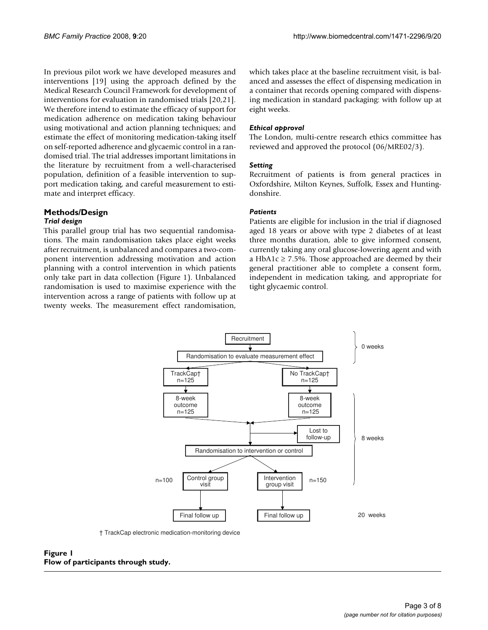In previous pilot work we have developed measures and interventions [19] using the approach defined by the Medical Research Council Framework for development of interventions for evaluation in randomised trials [20,21]. We therefore intend to estimate the efficacy of support for medication adherence on medication taking behaviour using motivational and action planning techniques; and estimate the effect of monitoring medication-taking itself on self-reported adherence and glycaemic control in a randomised trial. The trial addresses important limitations in the literature by recruitment from a well-characterised population, definition of a feasible intervention to support medication taking, and careful measurement to estimate and interpret efficacy.

## **Methods/Design**

#### *Trial design*

This parallel group trial has two sequential randomisations. The main randomisation takes place eight weeks after recruitment, is unbalanced and compares a two-component intervention addressing motivation and action planning with a control intervention in which patients only take part in data collection (Figure 1). Unbalanced randomisation is used to maximise experience with the intervention across a range of patients with follow up at twenty weeks. The measurement effect randomisation,

which takes place at the baseline recruitment visit, is balanced and assesses the effect of dispensing medication in a container that records opening compared with dispensing medication in standard packaging: with follow up at eight weeks.

#### *Ethical approval*

The London, multi-centre research ethics committee has reviewed and approved the protocol (06/MRE02/3).

#### *Setting*

Recruitment of patients is from general practices in Oxfordshire, Milton Keynes, Suffolk, Essex and Huntingdonshire.

#### *Patients*

Patients are eligible for inclusion in the trial if diagnosed aged 18 years or above with type 2 diabetes of at least three months duration, able to give informed consent, currently taking any oral glucose-lowering agent and with a HbA1c  $\geq$  7.5%. Those approached are deemed by their general practitioner able to complete a consent form, independent in medication taking, and appropriate for tight glycaemic control.



† TrackCap electronic medication-monitoring device

#### **Figure 1 Flow of participants through study.**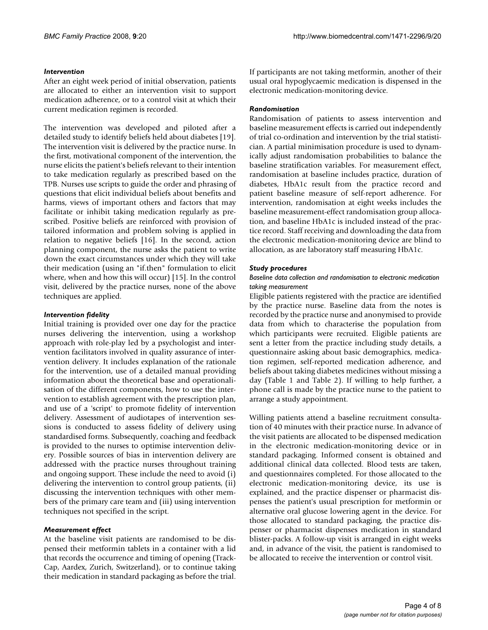#### *Intervention*

After an eight week period of initial observation, patients are allocated to either an intervention visit to support medication adherence, or to a control visit at which their current medication regimen is recorded.

The intervention was developed and piloted after a detailed study to identify beliefs held about diabetes [19]. The intervention visit is delivered by the practice nurse. In the first, motivational component of the intervention, the nurse elicits the patient's beliefs relevant to their intention to take medication regularly as prescribed based on the TPB. Nurses use scripts to guide the order and phrasing of questions that elicit individual beliefs about benefits and harms, views of important others and factors that may facilitate or inhibit taking medication regularly as prescribed. Positive beliefs are reinforced with provision of tailored information and problem solving is applied in relation to negative beliefs [16]. In the second, action planning component, the nurse asks the patient to write down the exact circumstances under which they will take their medication (using an "if.then" formulation to elicit where, when and how this will occur) [15]. In the control visit, delivered by the practice nurses, none of the above techniques are applied.

#### *Intervention fidelity*

Initial training is provided over one day for the practice nurses delivering the intervention, using a workshop approach with role-play led by a psychologist and intervention facilitators involved in quality assurance of intervention delivery. It includes explanation of the rationale for the intervention, use of a detailed manual providing information about the theoretical base and operationalisation of the different components, how to use the intervention to establish agreement with the prescription plan, and use of a 'script' to promote fidelity of intervention delivery. Assessment of audiotapes of intervention sessions is conducted to assess fidelity of delivery using standardised forms. Subsequently, coaching and feedback is provided to the nurses to optimise intervention delivery. Possible sources of bias in intervention delivery are addressed with the practice nurses throughout training and ongoing support. These include the need to avoid (i) delivering the intervention to control group patients, (ii) discussing the intervention techniques with other members of the primary care team and (iii) using intervention techniques not specified in the script.

#### *Measurement effect*

At the baseline visit patients are randomised to be dispensed their metformin tablets in a container with a lid that records the occurrence and timing of opening (Track-Cap, Aardex, Zurich, Switzerland), or to continue taking their medication in standard packaging as before the trial.

If participants are not taking metformin, another of their usual oral hypoglycaemic medication is dispensed in the electronic medication-monitoring device.

#### *Randomisation*

Randomisation of patients to assess intervention and baseline measurement effects is carried out independently of trial co-ordination and intervention by the trial statistician. A partial minimisation procedure is used to dynamically adjust randomisation probabilities to balance the baseline stratification variables. For measurement effect, randomisation at baseline includes practice, duration of diabetes, HbA1c result from the practice record and patient baseline measure of self-report adherence. For intervention, randomisation at eight weeks includes the baseline measurement-effect randomisation group allocation, and baseline HbA1c is included instead of the practice record. Staff receiving and downloading the data from the electronic medication-monitoring device are blind to allocation, as are laboratory staff measuring HbA1c.

#### *Study procedures*

#### *Baseline data collection and randomisation to electronic medication taking measurement*

Eligible patients registered with the practice are identified by the practice nurse. Baseline data from the notes is recorded by the practice nurse and anonymised to provide data from which to characterise the population from which participants were recruited. Eligible patients are sent a letter from the practice including study details, a questionnaire asking about basic demographics, medication regimen, self-reported medication adherence, and beliefs about taking diabetes medicines without missing a day (Table 1 and Table 2). If willing to help further, a phone call is made by the practice nurse to the patient to arrange a study appointment.

Willing patients attend a baseline recruitment consultation of 40 minutes with their practice nurse. In advance of the visit patients are allocated to be dispensed medication in the electronic medication-monitoring device or in standard packaging. Informed consent is obtained and additional clinical data collected. Blood tests are taken, and questionnaires completed. For those allocated to the electronic medication-monitoring device, its use is explained, and the practice dispenser or pharmacist dispenses the patient's usual prescription for metformin or alternative oral glucose lowering agent in the device. For those allocated to standard packaging, the practice dispenser or pharmacist dispenses medication in standard blister-packs. A follow-up visit is arranged in eight weeks and, in advance of the visit, the patient is randomised to be allocated to receive the intervention or control visit.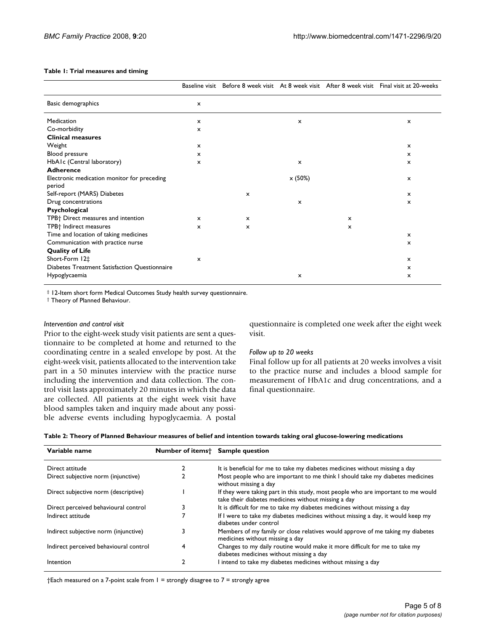#### **Table 1: Trial measures and timing**

|                                                       |                           |              |        |              | Baseline visit Before 8 week visit At 8 week visit After 8 week visit Final visit at 20-weeks |
|-------------------------------------------------------|---------------------------|--------------|--------|--------------|-----------------------------------------------------------------------------------------------|
| Basic demographics                                    | $\boldsymbol{\mathsf{x}}$ |              |        |              |                                                                                               |
| Medication                                            | $\boldsymbol{\mathsf{x}}$ |              | x      |              | x                                                                                             |
| Co-morbidity                                          | $\boldsymbol{\mathsf{x}}$ |              |        |              |                                                                                               |
| <b>Clinical measures</b>                              |                           |              |        |              |                                                                                               |
| Weight                                                | $\mathsf{x}$              |              |        |              | $\mathsf{x}$                                                                                  |
| Blood pressure                                        | $\mathsf{x}$              |              |        |              | $\mathsf{x}$                                                                                  |
| HbAIc (Central laboratory)                            | $\boldsymbol{\mathsf{x}}$ |              | x      |              | x                                                                                             |
| <b>Adherence</b>                                      |                           |              |        |              |                                                                                               |
| Electronic medication monitor for preceding<br>period |                           |              | x(50%) |              | $\boldsymbol{\mathsf{x}}$                                                                     |
| Self-report (MARS) Diabetes                           |                           | x            |        |              | x                                                                                             |
| Drug concentrations                                   |                           |              | x      |              | $\boldsymbol{\mathsf{x}}$                                                                     |
| Psychological                                         |                           |              |        |              |                                                                                               |
| TPB <sup>+</sup> Direct measures and intention        | $\mathsf{x}$              | $\mathsf{x}$ |        | $\mathsf{x}$ |                                                                                               |
| TPB <sup>+</sup> Indirect measures                    | $\mathsf{x}$              | x            |        | $\mathsf{x}$ |                                                                                               |
| Time and location of taking medicines                 |                           |              |        |              | $\pmb{\times}$                                                                                |
| Communication with practice nurse                     |                           |              |        |              | x                                                                                             |
| <b>Quality of Life</b>                                |                           |              |        |              |                                                                                               |
| Short-Form 12 <sup>+</sup>                            | $\mathsf{x}$              |              |        |              | $\boldsymbol{\mathsf{x}}$                                                                     |
| Diabetes Treatment Satisfaction Questionnaire         |                           |              |        |              | $\mathsf{x}$                                                                                  |
| Hypoglycaemia                                         |                           |              | x      |              | x                                                                                             |

‡ 12-Item short form Medical Outcomes Study health survey questionnaire.

† Theory of Planned Behaviour.

#### *Intervention and control visit*

Prior to the eight-week study visit patients are sent a questionnaire to be completed at home and returned to the coordinating centre in a sealed envelope by post. At the eight-week visit, patients allocated to the intervention take part in a 50 minutes interview with the practice nurse including the intervention and data collection. The control visit lasts approximately 20 minutes in which the data are collected. All patients at the eight week visit have blood samples taken and inquiry made about any possible adverse events including hypoglycaemia. A postal

questionnaire is completed one week after the eight week visit.

#### *Follow up to 20 weeks*

Final follow up for all patients at 20 weeks involves a visit to the practice nurse and includes a blood sample for measurement of HbA1c and drug concentrations, and a final questionnaire.

| Table 2: Theory of Planned Behaviour measures of belief and intention towards taking oral glucose-lowering medications |
|------------------------------------------------------------------------------------------------------------------------|
|------------------------------------------------------------------------------------------------------------------------|

| Variable name                          | Number of items <sup>†</sup> Sample question |                                                                                                                                          |
|----------------------------------------|----------------------------------------------|------------------------------------------------------------------------------------------------------------------------------------------|
| Direct attitude                        |                                              | It is beneficial for me to take my diabetes medicines without missing a day                                                              |
| Direct subjective norm (injunctive)    |                                              | Most people who are important to me think I should take my diabetes medicines<br>without missing a day                                   |
| Direct subjective norm (descriptive)   |                                              | If they were taking part in this study, most people who are important to me would<br>take their diabetes medicines without missing a day |
| Direct perceived behavioural control   |                                              | It is difficult for me to take my diabetes medicines without missing a day                                                               |
| Indirect attitude                      |                                              | If I were to take my diabetes medicines without missing a day, it would keep my<br>diabetes under control                                |
| Indirect subjective norm (injunctive)  |                                              | Members of my family or close relatives would approve of me taking my diabetes<br>medicines without missing a day                        |
| Indirect perceived behavioural control | 4                                            | Changes to my daily routine would make it more difficult for me to take my<br>diabetes medicines without missing a day                   |
| Intention                              |                                              | I intend to take my diabetes medicines without missing a day                                                                             |

 $\dagger$ Each measured on a 7-point scale from  $1 =$  strongly disagree to 7 = strongly agree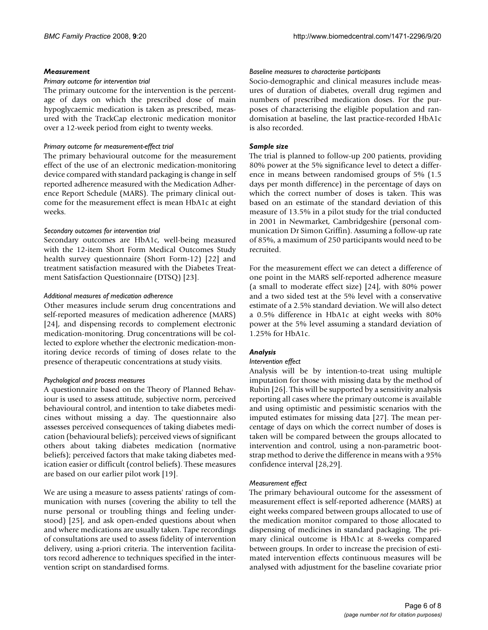#### *Measurement*

#### *Primary outcome for intervention trial*

The primary outcome for the intervention is the percentage of days on which the prescribed dose of main hypoglycaemic medication is taken as prescribed, measured with the TrackCap electronic medication monitor over a 12-week period from eight to twenty weeks.

#### *Primary outcome for measurement-effect trial*

The primary behavioural outcome for the measurement effect of the use of an electronic medication-monitoring device compared with standard packaging is change in self reported adherence measured with the Medication Adherence Report Schedule (MARS). The primary clinical outcome for the measurement effect is mean HbA1c at eight weeks.

#### *Secondary outcomes for intervention trial*

Secondary outcomes are HbA1c, well-being measured with the 12-item Short Form Medical Outcomes Study health survey questionnaire (Short Form-12) [22] and treatment satisfaction measured with the Diabetes Treatment Satisfaction Questionnaire (DTSQ) [23].

#### *Additional measures of medication adherence*

Other measures include serum drug concentrations and self-reported measures of medication adherence (MARS) [24], and dispensing records to complement electronic medication-monitoring. Drug concentrations will be collected to explore whether the electronic medication-monitoring device records of timing of doses relate to the presence of therapeutic concentrations at study visits.

#### *Psychological and process measures*

A questionnaire based on the Theory of Planned Behaviour is used to assess attitude, subjective norm, perceived behavioural control, and intention to take diabetes medicines without missing a day. The questionnaire also assesses perceived consequences of taking diabetes medication (behavioural beliefs); perceived views of significant others about taking diabetes medication (normative beliefs); perceived factors that make taking diabetes medication easier or difficult (control beliefs). These measures are based on our earlier pilot work [19].

We are using a measure to assess patients' ratings of communication with nurses (covering the ability to tell the nurse personal or troubling things and feeling understood) [25], and ask open-ended questions about when and where medications are usually taken. Tape recordings of consultations are used to assess fidelity of intervention delivery, using a-priori criteria. The intervention facilitators record adherence to techniques specified in the intervention script on standardised forms.

#### *Baseline measures to characterise participants*

Socio-demographic and clinical measures include measures of duration of diabetes, overall drug regimen and numbers of prescribed medication doses. For the purposes of characterising the eligible population and randomisation at baseline, the last practice-recorded HbA1c is also recorded.

#### *Sample size*

The trial is planned to follow-up 200 patients, providing 80% power at the 5% significance level to detect a difference in means between randomised groups of 5% (1.5 days per month difference) in the percentage of days on which the correct number of doses is taken. This was based on an estimate of the standard deviation of this measure of 13.5% in a pilot study for the trial conducted in 2001 in Newmarket, Cambridgeshire (personal communication Dr Simon Griffin). Assuming a follow-up rate of 85%, a maximum of 250 participants would need to be recruited.

For the measurement effect we can detect a difference of one point in the MARS self-reported adherence measure (a small to moderate effect size) [24], with 80% power and a two sided test at the 5% level with a conservative estimate of a 2.5% standard deviation. We will also detect a 0.5% difference in HbA1c at eight weeks with 80% power at the 5% level assuming a standard deviation of 1.25% for HbA1c.

### *Analysis*

#### *Intervention effect*

Analysis will be by intention-to-treat using multiple imputation for those with missing data by the method of Rubin [26]. This will be supported by a sensitivity analysis reporting all cases where the primary outcome is available and using optimistic and pessimistic scenarios with the imputed estimates for missing data [27]. The mean percentage of days on which the correct number of doses is taken will be compared between the groups allocated to intervention and control, using a non-parametric bootstrap method to derive the difference in means with a 95% confidence interval [28,29].

#### *Measurement effect*

The primary behavioural outcome for the assessment of measurement effect is self-reported adherence (MARS) at eight weeks compared between groups allocated to use of the medication monitor compared to those allocated to dispensing of medicines in standard packaging. The primary clinical outcome is HbA1c at 8-weeks compared between groups. In order to increase the precision of estimated intervention effects continuous measures will be analysed with adjustment for the baseline covariate prior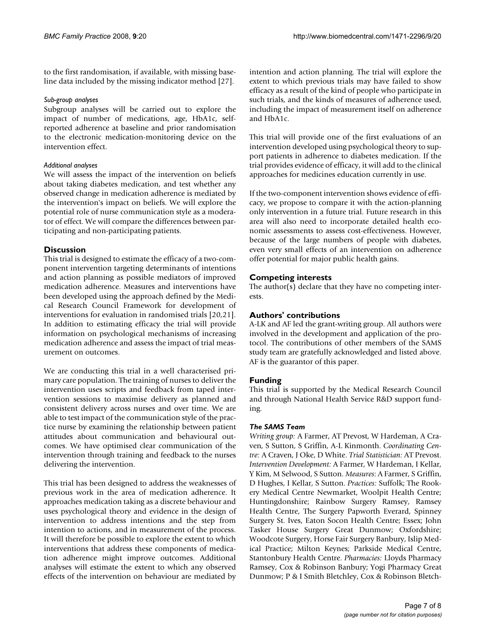to the first randomisation, if available, with missing baseline data included by the missing indicator method [27].

#### *Sub-group analyses*

Subgroup analyses will be carried out to explore the impact of number of medications, age, HbA1c, selfreported adherence at baseline and prior randomisation to the electronic medication-monitoring device on the intervention effect.

#### *Additional analyses*

We will assess the impact of the intervention on beliefs about taking diabetes medication, and test whether any observed change in medication adherence is mediated by the intervention's impact on beliefs. We will explore the potential role of nurse communication style as a moderator of effect. We will compare the differences between participating and non-participating patients.

#### **Discussion**

This trial is designed to estimate the efficacy of a two-component intervention targeting determinants of intentions and action planning as possible mediators of improved medication adherence. Measures and interventions have been developed using the approach defined by the Medical Research Council Framework for development of interventions for evaluation in randomised trials [20,21]. In addition to estimating efficacy the trial will provide information on psychological mechanisms of increasing medication adherence and assess the impact of trial measurement on outcomes.

We are conducting this trial in a well characterised primary care population. The training of nurses to deliver the intervention uses scripts and feedback from taped intervention sessions to maximise delivery as planned and consistent delivery across nurses and over time. We are able to test impact of the communication style of the practice nurse by examining the relationship between patient attitudes about communication and behavioural outcomes. We have optimised clear communication of the intervention through training and feedback to the nurses delivering the intervention.

This trial has been designed to address the weaknesses of previous work in the area of medication adherence. It approaches medication taking as a discrete behaviour and uses psychological theory and evidence in the design of intervention to address intentions and the step from intention to actions, and in measurement of the process. It will therefore be possible to explore the extent to which interventions that address these components of medication adherence might improve outcomes. Additional analyses will estimate the extent to which any observed effects of the intervention on behaviour are mediated by intention and action planning. The trial will explore the extent to which previous trials may have failed to show efficacy as a result of the kind of people who participate in such trials, and the kinds of measures of adherence used, including the impact of measurement itself on adherence and HbA1c.

This trial will provide one of the first evaluations of an intervention developed using psychological theory to support patients in adherence to diabetes medication. If the trial provides evidence of efficacy, it will add to the clinical approaches for medicines education currently in use.

If the two-component intervention shows evidence of efficacy, we propose to compare it with the action-planning only intervention in a future trial. Future research in this area will also need to incorporate detailed health economic assessments to assess cost-effectiveness. However, because of the large numbers of people with diabetes, even very small effects of an intervention on adherence offer potential for major public health gains.

#### **Competing interests**

The author(s) declare that they have no competing interests.

#### **Authors' contributions**

A-LK and AF led the grant-writing group. All authors were involved in the development and application of the protocol. The contributions of other members of the SAMS study team are gratefully acknowledged and listed above. AF is the guarantor of this paper.

#### **Funding**

This trial is supported by the Medical Research Council and through National Health Service R&D support funding.

#### *The SAMS Team*

*Writing group:* A Farmer, AT Prevost, W Hardeman, A Craven, S Sutton, S Griffin, A-L Kinmonth. *Coordinating Centre:* A Craven, J Oke, D White. *Trial Statistician:* AT Prevost. *Intervention Development:* A Farmer, W Hardeman, I Kellar, Y Kim, M Selwood, S Sutton. *Measures*: A Farmer, S Griffin, D Hughes, I Kellar, S Sutton. *Practices:* Suffolk; The Rookery Medical Centre Newmarket, Woolpit Health Centre; Huntingdonshire; Rainbow Surgery Ramsey, Ramsey Health Centre, The Surgery Papworth Everard, Spinney Surgery St. Ives, Eaton Socon Health Centre; Essex; John Tasker House Surgery Great Dunmow; Oxfordshire; Woodcote Surgery, Horse Fair Surgery Banbury, Islip Medical Practice; Milton Keynes; Parkside Medical Centre, Stantonbury Health Centre. *Pharmacies:* Lloyds Pharmacy Ramsey, Cox & Robinson Banbury; Yogi Pharmacy Great Dunmow; P & I Smith Bletchley, Cox & Robinson Bletch